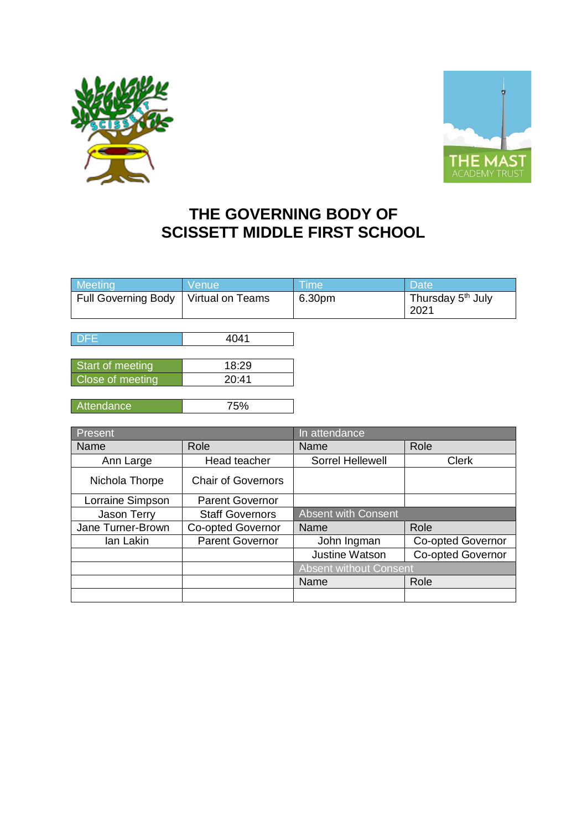



## **THE GOVERNING BODY OF SCISSETT MIDDLE FIRST SCHOOL**

| Meeting                    | Venue            | <b>Time</b> | <b>Date</b>                           |
|----------------------------|------------------|-------------|---------------------------------------|
| <b>Full Governing Body</b> | Virtual on Teams | 6.30pm      | Thursday 5 <sup>th</sup> July<br>2021 |
|                            |                  |             |                                       |
| DFE                        | 4041             |             |                                       |
|                            |                  |             |                                       |
| Start of meeting           | 18:29            |             |                                       |
| Close of meeting           | 20:41            |             |                                       |
|                            |                  |             |                                       |
| Attendance                 | 75%              |             |                                       |

| Present           |                           | In attendance                 |                          |
|-------------------|---------------------------|-------------------------------|--------------------------|
| Name              | Role                      | Name                          | Role                     |
| Ann Large         | Head teacher              | Sorrel Hellewell              | <b>Clerk</b>             |
| Nichola Thorpe    | <b>Chair of Governors</b> |                               |                          |
| Lorraine Simpson  | <b>Parent Governor</b>    |                               |                          |
| Jason Terry       | <b>Staff Governors</b>    | <b>Absent with Consent</b>    |                          |
| Jane Turner-Brown | <b>Co-opted Governor</b>  | Name                          | Role                     |
| lan Lakin         | <b>Parent Governor</b>    | John Ingman                   | <b>Co-opted Governor</b> |
|                   |                           | Justine Watson                | <b>Co-opted Governor</b> |
|                   |                           | <b>Absent without Consent</b> |                          |
|                   |                           | Name                          | Role                     |
|                   |                           |                               |                          |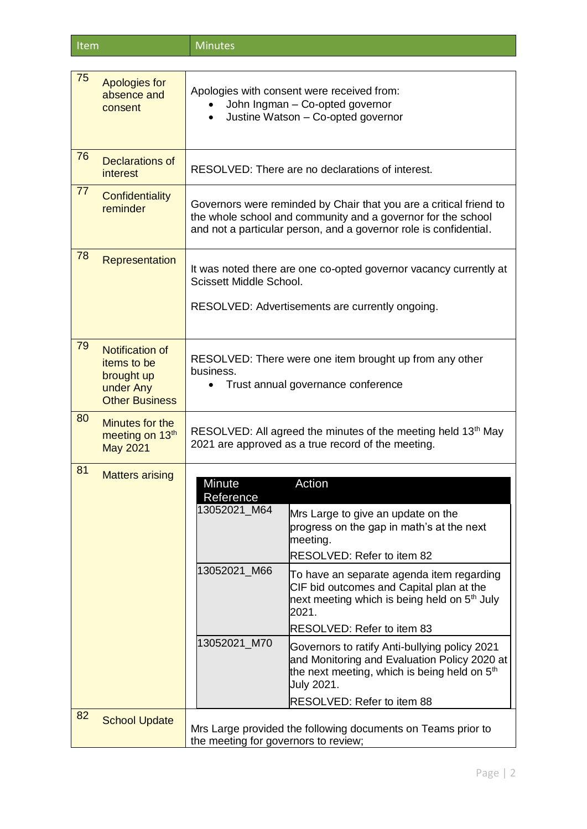| Item | <b>Minutes</b> |
|------|----------------|
|------|----------------|

| 75 | <b>Apologies for</b><br>absence and<br>consent                                     | Apologies with consent were received from:<br>John Ingman - Co-opted governor<br>Justine Watson - Co-opted governor<br>$\bullet$                                                                        |                                                                                                                                                               |
|----|------------------------------------------------------------------------------------|---------------------------------------------------------------------------------------------------------------------------------------------------------------------------------------------------------|---------------------------------------------------------------------------------------------------------------------------------------------------------------|
| 76 | Declarations of<br>interest                                                        |                                                                                                                                                                                                         | RESOLVED: There are no declarations of interest.                                                                                                              |
| 77 | Confidentiality<br>reminder                                                        | Governors were reminded by Chair that you are a critical friend to<br>the whole school and community and a governor for the school<br>and not a particular person, and a governor role is confidential. |                                                                                                                                                               |
| 78 | Representation                                                                     | Scissett Middle School.                                                                                                                                                                                 | It was noted there are one co-opted governor vacancy currently at<br>RESOLVED: Advertisements are currently ongoing.                                          |
| 79 | Notification of<br>items to be<br>brought up<br>under Any<br><b>Other Business</b> | business.                                                                                                                                                                                               | RESOLVED: There were one item brought up from any other<br>Trust annual governance conference                                                                 |
| 80 | Minutes for the<br>meeting on 13 <sup>th</sup><br><b>May 2021</b>                  |                                                                                                                                                                                                         | RESOLVED: All agreed the minutes of the meeting held 13 <sup>th</sup> May<br>2021 are approved as a true record of the meeting.                               |
| 81 | <b>Matters arising</b>                                                             | <b>Minute</b>                                                                                                                                                                                           | Action                                                                                                                                                        |
|    |                                                                                    | Reference<br>13052021_M64                                                                                                                                                                               | Mrs Large to give an update on the<br>progress on the gap in math's at the next<br>meeting.<br>RESOLVED: Refer to item 82                                     |
|    |                                                                                    | 13052021_M66                                                                                                                                                                                            | To have an separate agenda item regarding<br>CIF bid outcomes and Capital plan at the<br>next meeting which is being held on 5 <sup>th</sup> July<br>2021.    |
|    |                                                                                    |                                                                                                                                                                                                         | RESOLVED: Refer to item 83                                                                                                                                    |
|    |                                                                                    | 13052021_M70                                                                                                                                                                                            | Governors to ratify Anti-bullying policy 2021<br>and Monitoring and Evaluation Policy 2020 at<br>the next meeting, which is being held on $5th$<br>July 2021. |
| 82 |                                                                                    |                                                                                                                                                                                                         | <b>RESOLVED: Refer to item 88</b>                                                                                                                             |
|    | <b>School Update</b>                                                               | Mrs Large provided the following documents on Teams prior to<br>the meeting for governors to review;                                                                                                    |                                                                                                                                                               |
|    |                                                                                    |                                                                                                                                                                                                         |                                                                                                                                                               |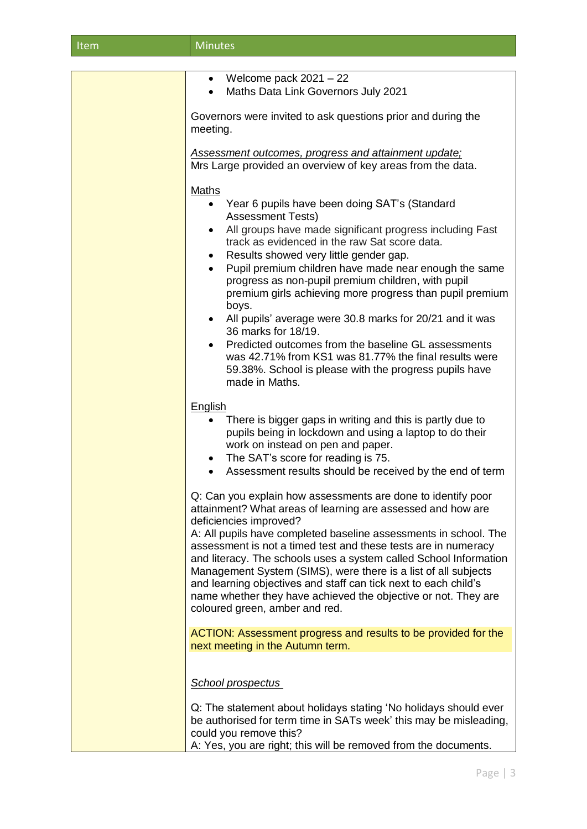| Item | <b>Minutes</b> |
|------|----------------|
|      |                |

| • Welcome pack $2021 - 22$                                                                                                                                                                                                                                                                                                                                                                                                                                                                                                                                                                                                                                                                                                                                                                        |
|---------------------------------------------------------------------------------------------------------------------------------------------------------------------------------------------------------------------------------------------------------------------------------------------------------------------------------------------------------------------------------------------------------------------------------------------------------------------------------------------------------------------------------------------------------------------------------------------------------------------------------------------------------------------------------------------------------------------------------------------------------------------------------------------------|
| Maths Data Link Governors July 2021                                                                                                                                                                                                                                                                                                                                                                                                                                                                                                                                                                                                                                                                                                                                                               |
| Governors were invited to ask questions prior and during the<br>meeting.                                                                                                                                                                                                                                                                                                                                                                                                                                                                                                                                                                                                                                                                                                                          |
| Assessment outcomes, progress and attainment update;<br>Mrs Large provided an overview of key areas from the data.                                                                                                                                                                                                                                                                                                                                                                                                                                                                                                                                                                                                                                                                                |
| <b>Maths</b><br>Year 6 pupils have been doing SAT's (Standard<br>$\bullet$<br><b>Assessment Tests)</b><br>All groups have made significant progress including Fast<br>$\bullet$<br>track as evidenced in the raw Sat score data.<br>Results showed very little gender gap.<br>$\bullet$<br>Pupil premium children have made near enough the same<br>$\bullet$<br>progress as non-pupil premium children, with pupil<br>premium girls achieving more progress than pupil premium<br>boys.<br>All pupils' average were 30.8 marks for 20/21 and it was<br>$\bullet$<br>36 marks for 18/19.<br>Predicted outcomes from the baseline GL assessments<br>$\bullet$<br>was 42.71% from KS1 was 81.77% the final results were<br>59.38%. School is please with the progress pupils have<br>made in Maths. |
| English<br>There is bigger gaps in writing and this is partly due to<br>pupils being in lockdown and using a laptop to do their<br>work on instead on pen and paper.<br>The SAT's score for reading is 75.<br>$\bullet$<br>Assessment results should be received by the end of term<br>$\bullet$                                                                                                                                                                                                                                                                                                                                                                                                                                                                                                  |
| Q: Can you explain how assessments are done to identify poor<br>attainment? What areas of learning are assessed and how are<br>deficiencies improved?<br>A: All pupils have completed baseline assessments in school. The<br>assessment is not a timed test and these tests are in numeracy<br>and literacy. The schools uses a system called School Information<br>Management System (SIMS), were there is a list of all subjects<br>and learning objectives and staff can tick next to each child's<br>name whether they have achieved the objective or not. They are<br>coloured green, amber and red.                                                                                                                                                                                         |
| ACTION: Assessment progress and results to be provided for the<br>next meeting in the Autumn term.                                                                                                                                                                                                                                                                                                                                                                                                                                                                                                                                                                                                                                                                                                |
| <b>School prospectus</b>                                                                                                                                                                                                                                                                                                                                                                                                                                                                                                                                                                                                                                                                                                                                                                          |
| Q: The statement about holidays stating 'No holidays should ever<br>be authorised for term time in SATs week' this may be misleading,<br>could you remove this?<br>A: Yes, you are right; this will be removed from the documents.                                                                                                                                                                                                                                                                                                                                                                                                                                                                                                                                                                |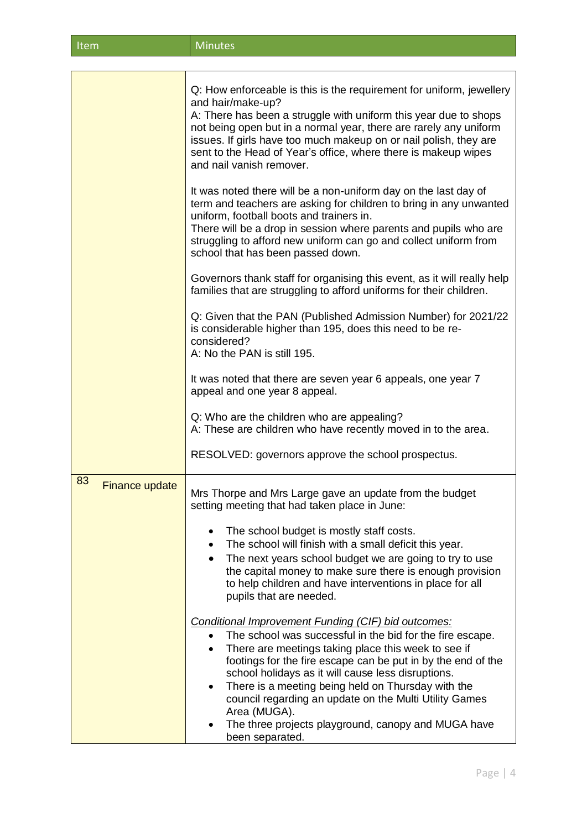| Item                        | <b>Minutes</b>                                                                                                                                                                                                                                                                                                                                                                                        |
|-----------------------------|-------------------------------------------------------------------------------------------------------------------------------------------------------------------------------------------------------------------------------------------------------------------------------------------------------------------------------------------------------------------------------------------------------|
|                             |                                                                                                                                                                                                                                                                                                                                                                                                       |
|                             | Q: How enforceable is this is the requirement for uniform, jewellery<br>and hair/make-up?<br>A: There has been a struggle with uniform this year due to shops<br>not being open but in a normal year, there are rarely any uniform<br>issues. If girls have too much makeup on or nail polish, they are<br>sent to the Head of Year's office, where there is makeup wipes<br>and nail vanish remover. |
|                             | It was noted there will be a non-uniform day on the last day of<br>term and teachers are asking for children to bring in any unwanted<br>uniform, football boots and trainers in.<br>There will be a drop in session where parents and pupils who are<br>struggling to afford new uniform can go and collect uniform from<br>school that has been passed down.                                        |
|                             | Governors thank staff for organising this event, as it will really help<br>families that are struggling to afford uniforms for their children.                                                                                                                                                                                                                                                        |
|                             | Q: Given that the PAN (Published Admission Number) for 2021/22<br>is considerable higher than 195, does this need to be re-<br>considered?<br>A: No the PAN is still 195.                                                                                                                                                                                                                             |
|                             | It was noted that there are seven year 6 appeals, one year 7<br>appeal and one year 8 appeal.                                                                                                                                                                                                                                                                                                         |
|                             | Q: Who are the children who are appealing?<br>A: These are children who have recently moved in to the area.                                                                                                                                                                                                                                                                                           |
|                             | RESOLVED: governors approve the school prospectus.                                                                                                                                                                                                                                                                                                                                                    |
| 83<br><b>Finance update</b> | Mrs Thorpe and Mrs Large gave an update from the budget<br>setting meeting that had taken place in June:                                                                                                                                                                                                                                                                                              |
|                             | The school budget is mostly staff costs.<br>The school will finish with a small deficit this year.<br>The next years school budget we are going to try to use<br>the capital money to make sure there is enough provision<br>to help children and have interventions in place for all<br>pupils that are needed.                                                                                      |
|                             | Conditional Improvement Funding (CIF) bid outcomes:<br>The school was successful in the bid for the fire escape.<br>There are meetings taking place this week to see if                                                                                                                                                                                                                               |

- There are meetings taking place this week to see if footings for the fire escape can be put in by the end of the school holidays as it will cause less disruptions.
- There is a meeting being held on Thursday with the council regarding an update on the Multi Utility Games Area (MUGA).
- The three projects playground, canopy and MUGA have been separated.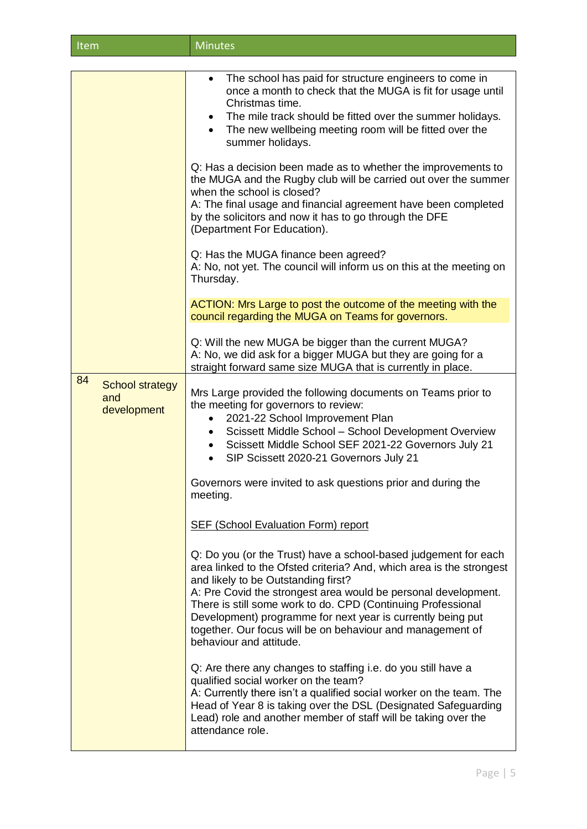| Item                                               | <b>Minutes</b>                                                                                                                                                                                                                                                                                                                                                                                                                                                           |
|----------------------------------------------------|--------------------------------------------------------------------------------------------------------------------------------------------------------------------------------------------------------------------------------------------------------------------------------------------------------------------------------------------------------------------------------------------------------------------------------------------------------------------------|
|                                                    |                                                                                                                                                                                                                                                                                                                                                                                                                                                                          |
|                                                    | The school has paid for structure engineers to come in<br>$\bullet$<br>once a month to check that the MUGA is fit for usage until<br>Christmas time.<br>The mile track should be fitted over the summer holidays.<br>The new wellbeing meeting room will be fitted over the<br>summer holidays.                                                                                                                                                                          |
|                                                    | Q: Has a decision been made as to whether the improvements to<br>the MUGA and the Rugby club will be carried out over the summer<br>when the school is closed?<br>A: The final usage and financial agreement have been completed<br>by the solicitors and now it has to go through the DFE<br>(Department For Education).                                                                                                                                                |
|                                                    | Q: Has the MUGA finance been agreed?<br>A: No, not yet. The council will inform us on this at the meeting on<br>Thursday.                                                                                                                                                                                                                                                                                                                                                |
|                                                    | ACTION: Mrs Large to post the outcome of the meeting with the<br>council regarding the MUGA on Teams for governors.                                                                                                                                                                                                                                                                                                                                                      |
|                                                    | Q: Will the new MUGA be bigger than the current MUGA?<br>A: No, we did ask for a bigger MUGA but they are going for a<br>straight forward same size MUGA that is currently in place.                                                                                                                                                                                                                                                                                     |
| 84<br><b>School strategy</b><br>and<br>development | Mrs Large provided the following documents on Teams prior to<br>the meeting for governors to review:<br>2021-22 School Improvement Plan<br>$\bullet$<br>Scissett Middle School - School Development Overview<br>$\bullet$<br>Scissett Middle School SEF 2021-22 Governors July 21<br>$\bullet$<br>SIP Scissett 2020-21 Governors July 21<br>$\bullet$                                                                                                                    |
|                                                    | Governors were invited to ask questions prior and during the<br>meeting.                                                                                                                                                                                                                                                                                                                                                                                                 |
|                                                    | <b>SEF (School Evaluation Form) report</b>                                                                                                                                                                                                                                                                                                                                                                                                                               |
|                                                    | Q: Do you (or the Trust) have a school-based judgement for each<br>area linked to the Ofsted criteria? And, which area is the strongest<br>and likely to be Outstanding first?<br>A: Pre Covid the strongest area would be personal development.<br>There is still some work to do. CPD (Continuing Professional<br>Development) programme for next year is currently being put<br>together. Our focus will be on behaviour and management of<br>behaviour and attitude. |
|                                                    | Q: Are there any changes to staffing i.e. do you still have a<br>qualified social worker on the team?<br>A: Currently there isn't a qualified social worker on the team. The<br>Head of Year 8 is taking over the DSL (Designated Safeguarding<br>Lead) role and another member of staff will be taking over the<br>attendance role.                                                                                                                                     |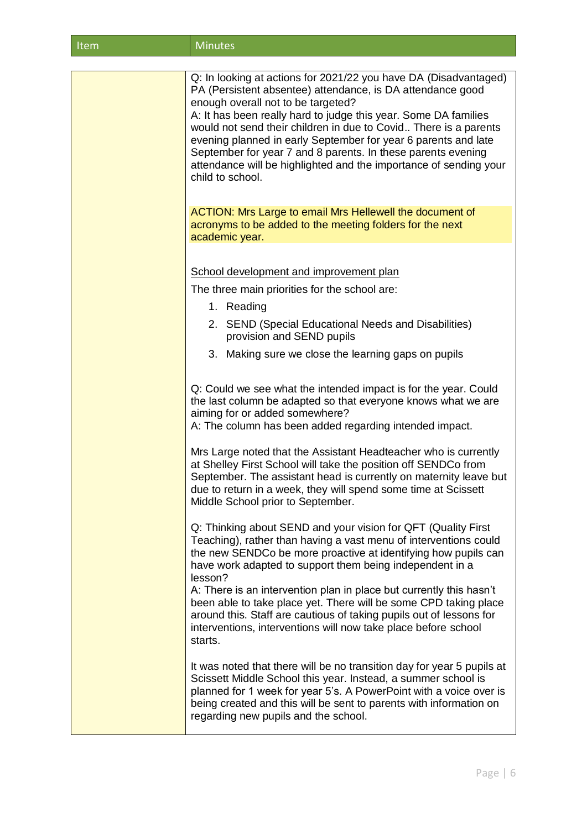| <b>Minutes</b><br>Item |  |
|------------------------|--|
|------------------------|--|

| Q: In looking at actions for 2021/22 you have DA (Disadvantaged)                                                                                                                                                                                                                                                                                               |
|----------------------------------------------------------------------------------------------------------------------------------------------------------------------------------------------------------------------------------------------------------------------------------------------------------------------------------------------------------------|
| PA (Persistent absentee) attendance, is DA attendance good<br>enough overall not to be targeted?                                                                                                                                                                                                                                                               |
| A: It has been really hard to judge this year. Some DA families<br>would not send their children in due to Covid There is a parents<br>evening planned in early September for year 6 parents and late<br>September for year 7 and 8 parents. In these parents evening<br>attendance will be highlighted and the importance of sending your<br>child to school. |
| ACTION: Mrs Large to email Mrs Hellewell the document of<br>acronyms to be added to the meeting folders for the next<br>academic year.                                                                                                                                                                                                                         |
|                                                                                                                                                                                                                                                                                                                                                                |
| School development and improvement plan                                                                                                                                                                                                                                                                                                                        |
| The three main priorities for the school are:<br>1. Reading                                                                                                                                                                                                                                                                                                    |
| 2. SEND (Special Educational Needs and Disabilities)<br>provision and SEND pupils                                                                                                                                                                                                                                                                              |
| 3. Making sure we close the learning gaps on pupils                                                                                                                                                                                                                                                                                                            |
| Q: Could we see what the intended impact is for the year. Could<br>the last column be adapted so that everyone knows what we are<br>aiming for or added somewhere?<br>A: The column has been added regarding intended impact.                                                                                                                                  |
| Mrs Large noted that the Assistant Headteacher who is currently<br>at Shelley First School will take the position off SENDCo from<br>September. The assistant head is currently on maternity leave but<br>due to return in a week, they will spend some time at Scissett<br>Middle School prior to September.                                                  |
| Q: Thinking about SEND and your vision for QFT (Quality First<br>Teaching), rather than having a vast menu of interventions could<br>the new SENDCo be more proactive at identifying how pupils can<br>have work adapted to support them being independent in a<br>lesson?                                                                                     |
| A: There is an intervention plan in place but currently this hasn't<br>been able to take place yet. There will be some CPD taking place<br>around this. Staff are cautious of taking pupils out of lessons for<br>interventions, interventions will now take place before school<br>starts.                                                                    |
| It was noted that there will be no transition day for year 5 pupils at<br>Scissett Middle School this year. Instead, a summer school is<br>planned for 1 week for year 5's. A PowerPoint with a voice over is<br>being created and this will be sent to parents with information on<br>regarding new pupils and the school.                                    |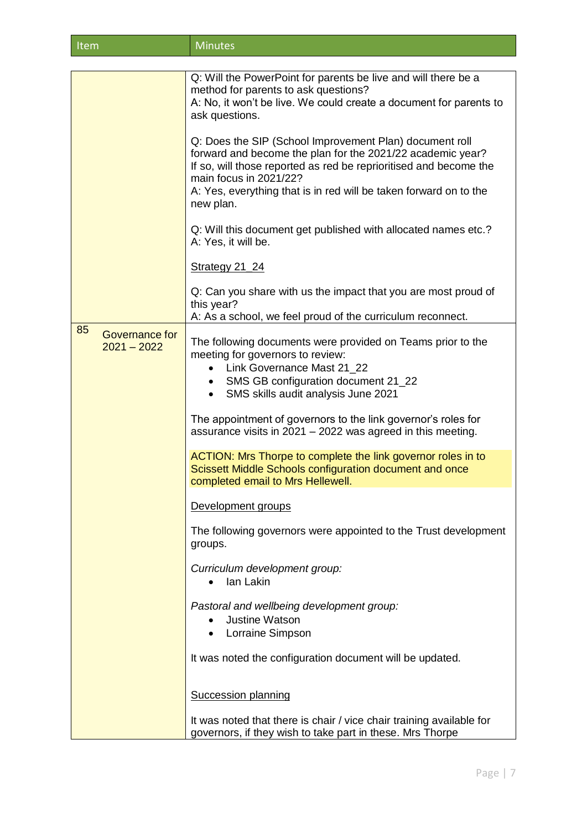| Item<br>Minutes <sup>'</sup> |
|------------------------------|
|------------------------------|

|                                       | Q: Will the PowerPoint for parents be live and will there be a<br>method for parents to ask questions?<br>A: No, it won't be live. We could create a document for parents to<br>ask questions.                                                                                                         |
|---------------------------------------|--------------------------------------------------------------------------------------------------------------------------------------------------------------------------------------------------------------------------------------------------------------------------------------------------------|
|                                       | Q: Does the SIP (School Improvement Plan) document roll<br>forward and become the plan for the 2021/22 academic year?<br>If so, will those reported as red be reprioritised and become the<br>main focus in 2021/22?<br>A: Yes, everything that is in red will be taken forward on to the<br>new plan. |
|                                       | Q: Will this document get published with allocated names etc.?<br>A: Yes, it will be.                                                                                                                                                                                                                  |
|                                       | <b>Strategy 21_24</b>                                                                                                                                                                                                                                                                                  |
|                                       | Q: Can you share with us the impact that you are most proud of<br>this year?<br>A: As a school, we feel proud of the curriculum reconnect.                                                                                                                                                             |
| 85<br>Governance for<br>$2021 - 2022$ | The following documents were provided on Teams prior to the<br>meeting for governors to review:<br>Link Governance Mast 21_22<br>SMS GB configuration document 21_22<br>$\bullet$<br>SMS skills audit analysis June 2021<br>$\bullet$                                                                  |
|                                       | The appointment of governors to the link governor's roles for<br>assurance visits in 2021 - 2022 was agreed in this meeting.                                                                                                                                                                           |
|                                       | ACTION: Mrs Thorpe to complete the link governor roles in to<br>Scissett Middle Schools configuration document and once<br>completed email to Mrs Hellewell.                                                                                                                                           |
|                                       | Development groups                                                                                                                                                                                                                                                                                     |
|                                       | The following governors were appointed to the Trust development<br>groups.                                                                                                                                                                                                                             |
|                                       | Curriculum development group:<br>lan Lakin<br>$\bullet$                                                                                                                                                                                                                                                |
|                                       | Pastoral and wellbeing development group:<br><b>Justine Watson</b><br><b>Lorraine Simpson</b>                                                                                                                                                                                                          |
|                                       | It was noted the configuration document will be updated.                                                                                                                                                                                                                                               |
|                                       | <b>Succession planning</b>                                                                                                                                                                                                                                                                             |
|                                       | It was noted that there is chair / vice chair training available for<br>governors, if they wish to take part in these. Mrs Thorpe                                                                                                                                                                      |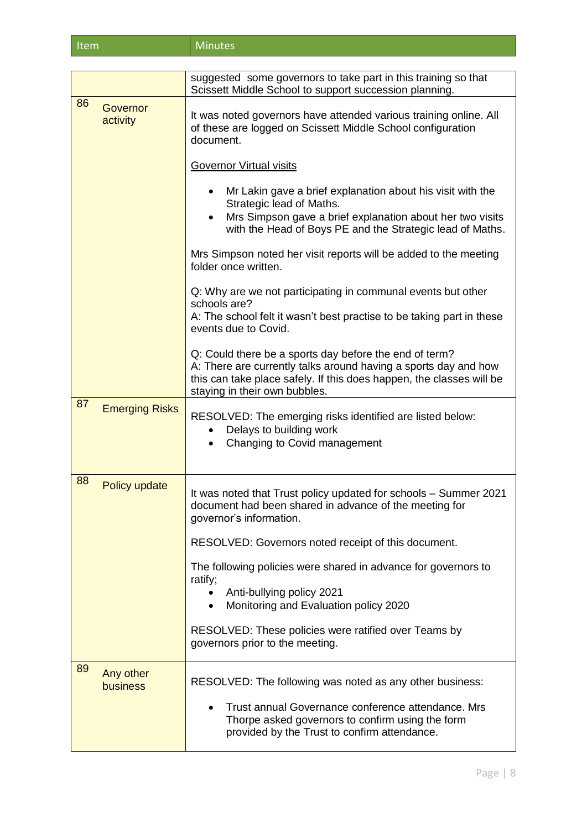| <b>Minutes</b><br>Item |
|------------------------|
|------------------------|

|    |                       | suggested some governors to take part in this training so that<br>Scissett Middle School to support succession planning.                                                                                                           |
|----|-----------------------|------------------------------------------------------------------------------------------------------------------------------------------------------------------------------------------------------------------------------------|
| 86 | Governor<br>activity  | It was noted governors have attended various training online. All<br>of these are logged on Scissett Middle School configuration<br>document.                                                                                      |
|    |                       | <b>Governor Virtual visits</b>                                                                                                                                                                                                     |
|    |                       | Mr Lakin gave a brief explanation about his visit with the<br>Strategic lead of Maths.<br>Mrs Simpson gave a brief explanation about her two visits<br>with the Head of Boys PE and the Strategic lead of Maths.                   |
|    |                       | Mrs Simpson noted her visit reports will be added to the meeting<br>folder once written.                                                                                                                                           |
|    |                       | Q: Why are we not participating in communal events but other<br>schools are?<br>A: The school felt it wasn't best practise to be taking part in these<br>events due to Covid.                                                      |
|    |                       | Q: Could there be a sports day before the end of term?<br>A: There are currently talks around having a sports day and how<br>this can take place safely. If this does happen, the classes will be<br>staying in their own bubbles. |
| 87 | <b>Emerging Risks</b> | RESOLVED: The emerging risks identified are listed below:<br>Delays to building work<br>Changing to Covid management                                                                                                               |
| 88 | Policy update         | It was noted that Trust policy updated for schools - Summer 2021<br>document had been shared in advance of the meeting for<br>governor's information.                                                                              |
|    |                       | RESOLVED: Governors noted receipt of this document.                                                                                                                                                                                |
|    |                       | The following policies were shared in advance for governors to<br>ratify;                                                                                                                                                          |
|    |                       | Anti-bullying policy 2021<br>Monitoring and Evaluation policy 2020                                                                                                                                                                 |
|    |                       | RESOLVED: These policies were ratified over Teams by<br>governors prior to the meeting.                                                                                                                                            |
| 89 | Any other<br>business | RESOLVED: The following was noted as any other business:<br>Trust annual Governance conference attendance. Mrs<br>Thorpe asked governors to confirm using the form<br>provided by the Trust to confirm attendance.                 |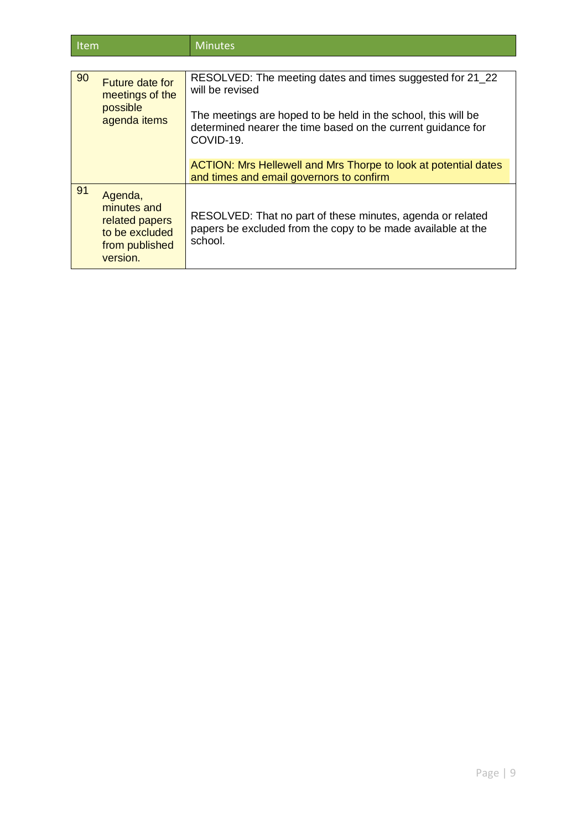| 90 | Future date for<br>meetings of the<br>possible<br>agenda items                           | RESOLVED: The meeting dates and times suggested for 21_22<br>will be revised<br>The meetings are hoped to be held in the school, this will be<br>determined nearer the time based on the current guidance for<br>COVID-19. |
|----|------------------------------------------------------------------------------------------|----------------------------------------------------------------------------------------------------------------------------------------------------------------------------------------------------------------------------|
|    |                                                                                          | ACTION: Mrs Hellewell and Mrs Thorpe to look at potential dates<br>and times and email governors to confirm                                                                                                                |
| 91 | Agenda,<br>minutes and<br>related papers<br>to be excluded<br>from published<br>version. | RESOLVED: That no part of these minutes, agenda or related<br>papers be excluded from the copy to be made available at the<br>school.                                                                                      |